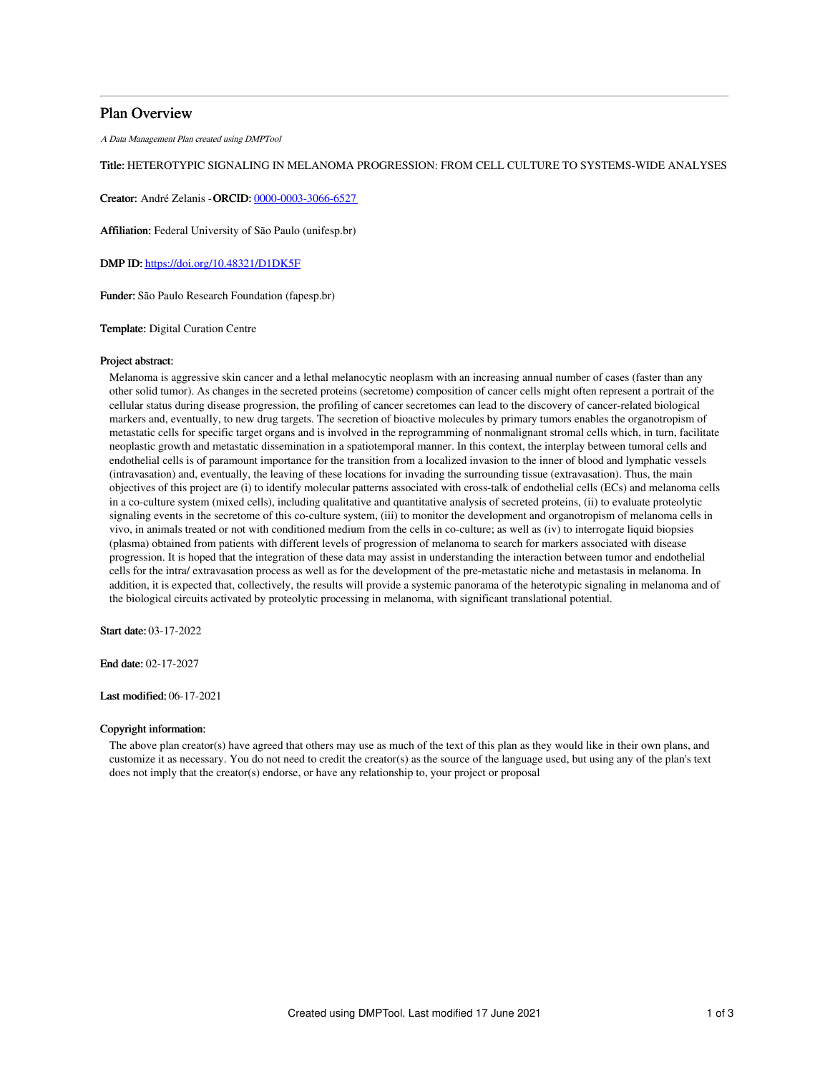# Plan Overview

A Data Management Plan created using DMPTool

## Title: HETEROTYPIC SIGNALING IN MELANOMA PROGRESSION: FROM CELL CULTURE TO SYSTEMS-WIDE ANALYSES

Creator: André Zelanis -ORCID: [0000-0003-3066-6527](https://orcid.org/0000-0003-3066-6527)

Affiliation: Federal University of São Paulo (unifesp.br)

DMP ID: <https://doi.org/10.48321/D1DK5F>

Funder: São Paulo Research Foundation (fapesp.br)

Template: Digital Curation Centre

#### Project abstract:

Melanoma is aggressive skin cancer and a lethal melanocytic neoplasm with an increasing annual number of cases (faster than any other solid tumor). As changes in the secreted proteins (secretome) composition of cancer cells might often represent a portrait of the cellular status during disease progression, the profiling of cancer secretomes can lead to the discovery of cancer-related biological markers and, eventually, to new drug targets. The secretion of bioactive molecules by primary tumors enables the organotropism of metastatic cells for specific target organs and is involved in the reprogramming of nonmalignant stromal cells which, in turn, facilitate neoplastic growth and metastatic dissemination in a spatiotemporal manner. In this context, the interplay between tumoral cells and endothelial cells is of paramount importance for the transition from a localized invasion to the inner of blood and lymphatic vessels (intravasation) and, eventually, the leaving of these locations for invading the surrounding tissue (extravasation). Thus, the main objectives of this project are (i) to identify molecular patterns associated with cross-talk of endothelial cells (ECs) and melanoma cells in a co-culture system (mixed cells), including qualitative and quantitative analysis of secreted proteins, (ii) to evaluate proteolytic signaling events in the secretome of this co-culture system, (iii) to monitor the development and organotropism of melanoma cells in vivo, in animals treated or not with conditioned medium from the cells in co-culture; as well as (iv) to interrogate liquid biopsies (plasma) obtained from patients with different levels of progression of melanoma to search for markers associated with disease progression. It is hoped that the integration of these data may assist in understanding the interaction between tumor and endothelial cells for the intra/ extravasation process as well as for the development of the pre-metastatic niche and metastasis in melanoma. In addition, it is expected that, collectively, the results will provide a systemic panorama of the heterotypic signaling in melanoma and of the biological circuits activated by proteolytic processing in melanoma, with significant translational potential.

Start date: 03-17-2022

End date: 02-17-2027

Last modified: 06-17-2021

## Copyright information:

The above plan creator(s) have agreed that others may use as much of the text of this plan as they would like in their own plans, and customize it as necessary. You do not need to credit the creator(s) as the source of the language used, but using any of the plan's text does not imply that the creator(s) endorse, or have any relationship to, your project or proposal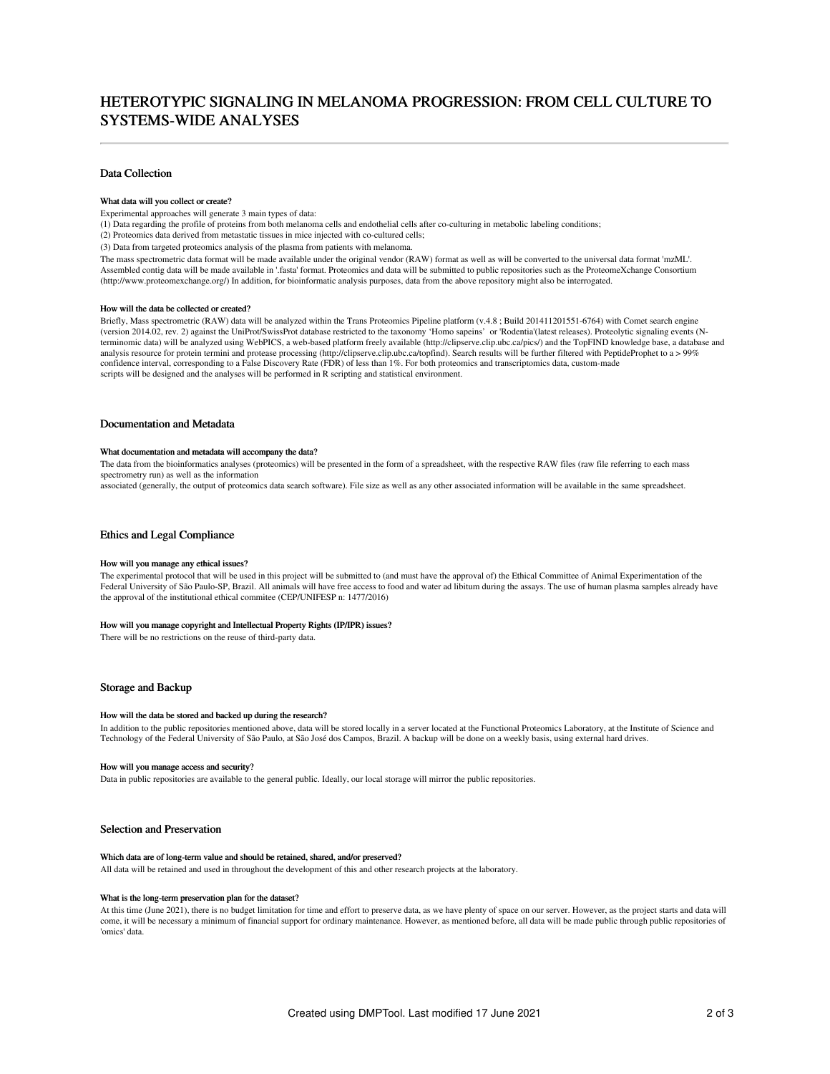# HETEROTYPIC SIGNALING IN MELANOMA PROGRESSION: FROM CELL CULTURE TO SYSTEMS-WIDE ANALYSES

## Data Collection

#### What data will you collect or create?

Experimental approaches will generate 3 main types of data:

(1) Data regarding the profile of proteins from both melanoma cells and endothelial cells after co-culturing in metabolic labeling conditions;

(2) Proteomics data derived from metastatic tissues in mice injected with co-cultured cells;

(3) Data from targeted proteomics analysis of the plasma from patients with melanoma.

The mass spectrometric data format will be made available under the original vendor (RAW) format as well as will be converted to the universal data format 'mzML'. Assembled contig data will be made available in '.fasta' format. Proteomics and data will be submitted to public repositories such as the ProteomeXchange Consortium (http://www.proteomexchange.org/) In addition, for bioinformatic analysis purposes, data from the above repository might also be interrogated.

#### How will the data be collected or created?

Briefly, Mass spectrometric (RAW) data will be analyzed within the Trans Proteomics Pipeline platform (v.4.8 ; Build 201411201551-6764) with Comet search engine (version 2014.02, rev. 2) against the UniProt/SwissProt database restricted to the taxonomy 'Homo sapeins' or 'Rodentia'(latest releases). Proteolytic signaling events (Nterminomic data) will be analyzed using WebPICS, a web-based platform freely available (http://clipserve.clip.ubc.ca/pics/) and the TopFIND knowledge base, a database and analysis resource for protein termini and protease processing (http://clipserve.clip.ubc.ca/topfind). Search results will be further filtered with PeptideProphet to a > 99% confidence interval, corresponding to a False Discovery Rate (FDR) of less than 1%. For both proteomics and transcriptomics data, custom-made scripts will be designed and the analyses will be performed in R scripting and statistical environment.

## Documentation and Metadata

#### What documentation and metadata will accompany the data?

The data from the bioinformatics analyses (proteomics) will be presented in the form of a spreadsheet, with the respective RAW files (raw file referring to each mass spectrometry run) as well as the information

associated (generally, the output of proteomics data search software). File size as well as any other associated information will be available in the same spreadsheet.

## Ethics and Legal Compliance

#### How will you manage any ethical issues?

The experimental protocol that will be used in this project will be submitted to (and must have the approval of) the Ethical Committee of Animal Experimentation of the Federal University of São Paulo-SP, Brazil. All animals will have free access to food and water ad libitum during the assays. The use of human plasma samples already have the approval of the institutional ethical commitee (CEP/UNIFESP n: 1477/2016)

#### How will you manage copyright and Intellectual Property Rights (IP/IPR) issues?

There will be no restrictions on the reuse of third-party data.

#### Storage and Backup

#### How will the data be stored and backed up during the research?

In addition to the public repositories mentioned above, data will be stored locally in a server located at the Functional Proteomics Laboratory, at the Institute of Science and Technology of the Federal University of São Paulo, at São José dos Campos, Brazil. A backup will be done on a weekly basis, using external hard drives.

#### How will you manage access and security?

Data in public repositories are available to the general public. Ideally, our local storage will mirror the public repositories.

#### Selection and Preservation

#### Which data are of long-term value and should be retained, shared, and/or preserved?

All data will be retained and used in throughout the development of this and other research projects at the laboratory.

#### What is the long-term preservation plan for the dataset?

At this time (June 2021), there is no budget limitation for time and effort to preserve data, as we have plenty of space on our server. However, as the project starts and data will come, it will be necessary a minimum of financial support for ordinary maintenance. However, as mentioned before, all data will be made public through public repositories of 'omics' data.